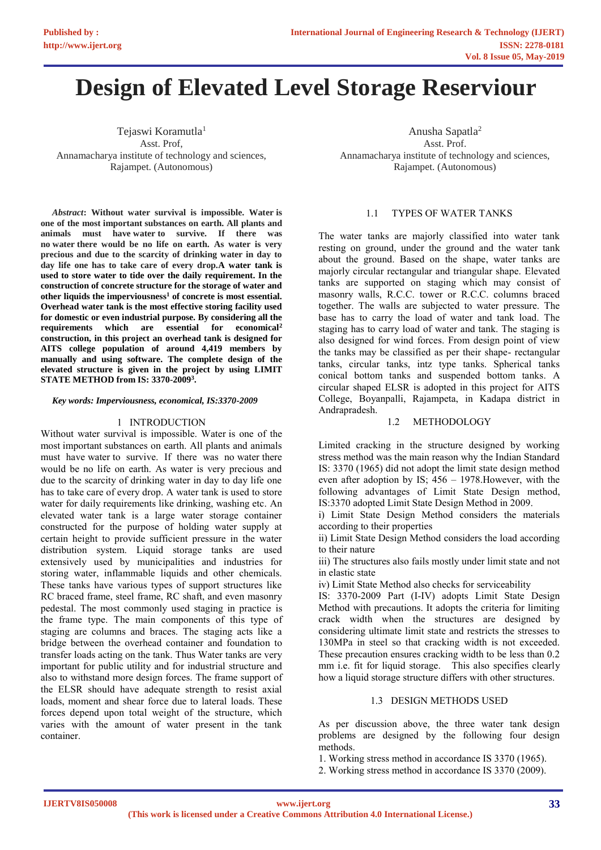# **Design of Elevated Level Storage Reserviour**

Tejaswi Koramutla<sup>1</sup> Asst. Prof, Annamacharya institute of technology and sciences, Rajampet. (Autonomous)

*Abstract***: Without water survival is impossible. Water is one of the most important substances on earth. All plants and animals must have water to survive. If there was no water there would be no life on earth. As water is very precious and due to the scarcity of drinking water in day to day life one has to take care of every drop.A water tank is used to store water to tide over the daily requirement. In the construction of concrete structure for the storage of water and other liquids the imperviousness<sup>1</sup> of concrete is most essential. Overhead water tank is the most effective storing facility used for domestic or even industrial purpose. By considering all the requirements which are essential for economical<sup>2</sup> construction, in this project an overhead tank is designed for AITS college population of around 4,419 members by manually and using software. The complete design of the elevated structure is given in the project by using LIMIT STATE METHOD from IS: 3370-2009<sup>3</sup> .**

#### *Key words: Imperviousness, economical, IS:3370-2009*

#### 1 INTRODUCTION

Without water survival is impossible. Water is one of the most important substances on earth. All plants and animals must have water to survive. If there was no water there would be no life on earth. As water is very precious and due to the scarcity of drinking water in day to day life one has to take care of every drop. A water tank is used to store water for daily requirements like drinking, washing etc. An elevated water tank is a large water storage container constructed for the purpose of holding water supply at certain height to provide sufficient pressure in the water distribution system. Liquid storage tanks are used extensively used by municipalities and industries for storing water, inflammable liquids and other chemicals. These tanks have various types of support structures like RC braced frame, steel frame, RC shaft, and even masonry pedestal. The most commonly used staging in practice is the frame type. The main components of this type of staging are columns and braces. The staging acts like a bridge between the overhead container and foundation to transfer loads acting on the tank. Thus Water tanks are very important for public utility and for industrial structure and also to withstand more design forces. The frame support of the ELSR should have adequate strength to resist axial loads, moment and shear force due to lateral loads. These forces depend upon total weight of the structure, which varies with the amount of water present in the tank container.

Anusha Sapatla<sup>2</sup> Asst. Prof. Annamacharya institute of technology and sciences, Rajampet. (Autonomous)

# 1.1 TYPES OF WATER TANKS

The water tanks are majorly classified into water tank resting on ground, under the ground and the water tank about the ground. Based on the shape, water tanks are majorly circular rectangular and triangular shape. Elevated tanks are supported on staging which may consist of masonry walls, R.C.C. tower or R.C.C. columns braced together. The walls are subjected to water pressure. The base has to carry the load of water and tank load. The staging has to carry load of water and tank. The staging is also designed for wind forces. From design point of view the tanks may be classified as per their shape- rectangular tanks, circular tanks, intz type tanks. Spherical tanks conical bottom tanks and suspended bottom tanks. A circular shaped ELSR is adopted in this project for AITS College, Boyanpalli, Rajampeta, in Kadapa district in Andrapradesh.

# 1.2 METHODOLOGY

Limited cracking in the structure designed by working stress method was the main reason why the Indian Standard IS: 3370 (1965) did not adopt the limit state design method even after adoption by IS; 456 – 1978.However, with the following advantages of Limit State Design method, IS:3370 adopted Limit State Design Method in 2009.

i) Limit State Design Method considers the materials according to their properties

ii) Limit State Design Method considers the load according to their nature

iii) The structures also fails mostly under limit state and not in elastic state

iv) Limit State Method also checks for serviceability

IS: 3370-2009 Part (I-IV) adopts Limit State Design Method with precautions. It adopts the criteria for limiting crack width when the structures are designed by considering ultimate limit state and restricts the stresses to 130MPa in steel so that cracking width is not exceeded. These precaution ensures cracking width to be less than 0.2 mm i.e. fit for liquid storage. This also specifies clearly how a liquid storage structure differs with other structures.

# 1.3 DESIGN METHODS USED

As per discussion above, the three water tank design problems are designed by the following four design methods.

- 1. Working stress method in accordance IS 3370 (1965).
- 2. Working stress method in accordance IS 3370 (2009).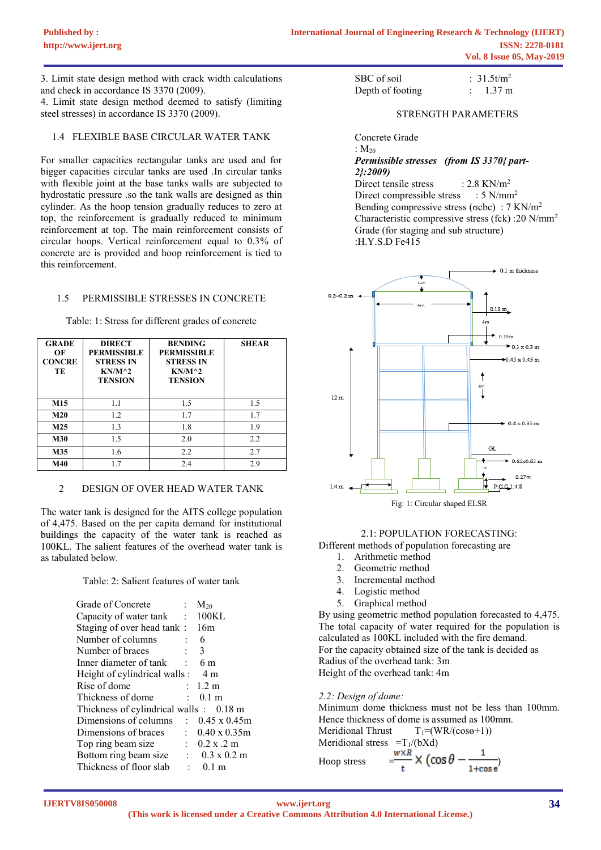3. Limit state design method with crack width calculations and check in accordance IS 3370 (2009).

4. Limit state design method deemed to satisfy (limiting steel stresses) in accordance IS 3370 (2009).

# 1.4 FLEXIBLE BASE CIRCULAR WATER TANK

For smaller capacities rectangular tanks are used and for bigger capacities circular tanks are used .In circular tanks with flexible joint at the base tanks walls are subjected to hydrostatic pressure .so the tank walls are designed as thin cylinder. As the hoop tension gradually reduces to zero at top, the reinforcement is gradually reduced to minimum reinforcement at top. The main reinforcement consists of circular hoops. Vertical reinforcement equal to 0.3% of concrete are is provided and hoop reinforcement is tied to this reinforcement.

# 1.5 PERMISSIBLE STRESSES IN CONCRETE

Table: 1: Stress for different grades of concrete

| <b>GRADE</b><br>OF<br><b>CONCRE</b><br>TЕ | <b>DIRECT</b><br><b>PERMISSIBLE</b><br><b>STRESS IN</b><br>$KN/M^2$<br><b>TENSION</b> | <b>BENDING</b><br><b>PERMISSIBLE</b><br><b>STRESS IN</b><br>$KN/M^2$<br><b>TENSION</b> | <b>SHEAR</b> |
|-------------------------------------------|---------------------------------------------------------------------------------------|----------------------------------------------------------------------------------------|--------------|
| M15                                       | 1.1                                                                                   | 1.5                                                                                    | 1.5          |
| M <sub>20</sub>                           | 1.2                                                                                   | 1.7                                                                                    | 1.7          |
| M <sub>25</sub>                           | 1.3                                                                                   | 1.8                                                                                    | 1.9          |
| <b>M30</b>                                | 1.5                                                                                   | 2.0                                                                                    | 2.2          |
| M35                                       | 1.6                                                                                   | 2.2                                                                                    | 2.7          |
| M40                                       | 1.7                                                                                   | 2.4                                                                                    | 2.9          |

# 2 DESIGN OF OVER HEAD WATER TANK

The water tank is designed for the AITS college population of 4,475. Based on the per capita demand for institutional buildings the capacity of the water tank is reached as 100KL. The salient features of the overhead water tank is as tabulated below.

Table: 2: Salient features of water tank

| Grade of Concrete                                  | ÷.                   | $M_{20}$                  |
|----------------------------------------------------|----------------------|---------------------------|
| Capacity of water tank                             |                      | : 100KL                   |
| Staging of over head tank:                         |                      | 16m                       |
| Number of columns                                  | $\ddot{\cdot}$       | 6                         |
| Number of braces                                   | $\ddot{\phantom{a}}$ | 3                         |
| Inner diameter of tank                             |                      | 6 m                       |
| Height of cylindrical walls:                       |                      | 4 m                       |
| Rise of dome                                       |                      | : 1.2 m                   |
| Thickness of dome<br><b>Contractor</b>             |                      | $0.1 \text{ m}$           |
| Thickness of cylindrical walls $\therefore$ 0.18 m |                      |                           |
| Dimensions of columns                              |                      | $\therefore$ 0.45 x 0.45m |
| Dimensions of braces                               | $\pm$ 10 $\pm$       | $0.40 \times 0.35$ m      |
| Top ring beam size                                 |                      | $\therefore$ 0.2 x .2 m   |
| Bottom ring beam size                              |                      | $\therefore$ 0.3 x 0.2 m  |
| Thickness of floor slab                            | $\sim 100$           | 0.1 <sub>m</sub>          |
|                                                    |                      |                           |

| SBC of soil      | : $31.5t/m^2$    |
|------------------|------------------|
| Depth of footing | $1.37 \text{ m}$ |

#### STRENGTH PARAMETERS

#### : M<sup>20</sup> *Permissible stresses (from IS 3370{ part-2}:2009)*

Direct tensile stress  $: 2.8$  KN/m<sup>2</sup> Direct compressible stress :  $5 \text{ N/mm}^2$ Bending compressive stress ( $\sigma$ cbc) : 7 KN/m<sup>2</sup> Characteristic compressive stress (fck) :20 N/mm<sup>2</sup> Grade (for staging and sub structure) :H.Y.S.D Fe415



Fig: 1: Circular shaped ELSR

# 2.1: POPULATION FORECASTING:

- Different methods of population forecasting are
	- 1. Arithmetic method
	- 2. Geometric method
	- 3. Incremental method
	- 4. Logistic method
	- 5. Graphical method

By using geometric method population forecasted to 4,475. The total capacity of water required for the population is calculated as 100KL included with the fire demand. For the capacity obtained size of the tank is decided as Radius of the overhead tank: 3m Height of the overhead tank: 4m

*2.2: Design of dome:*

Minimum dome thickness must not be less than 100mm. Hence thickness of dome is assumed as 100mm. Meridional Thrust  $T_1=(WR/(cos\theta+1))$ 

Meridional stress 
$$
=T_1/(bXd)
$$
  
\nHoop stress  $=\frac{w \times R}{t} \times (\cos \theta - \frac{1}{1 + \cos \theta})$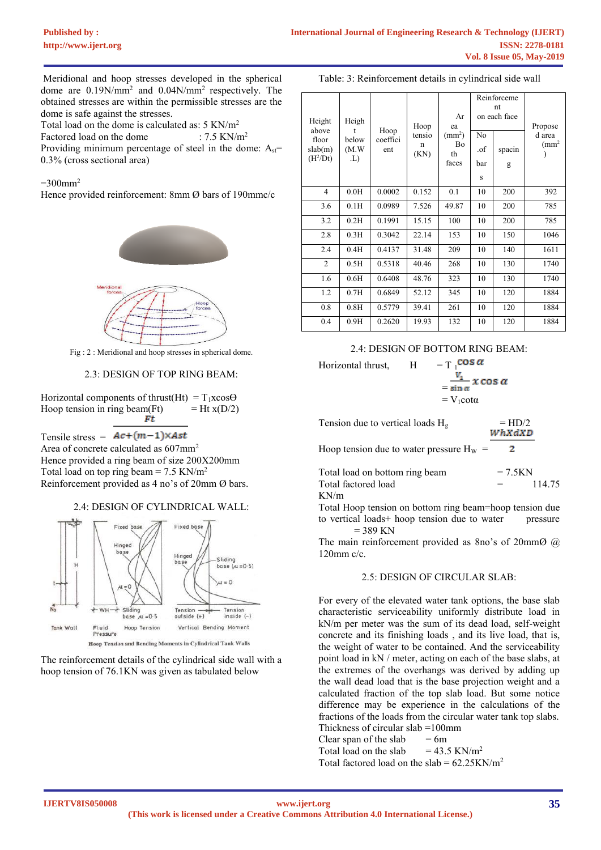Meridional and hoop stresses developed in the spherical dome are  $0.19$ N/mm<sup>2</sup> and  $0.04$ N/mm<sup>2</sup> respectively. The obtained stresses are within the permissible stresses are the dome is safe against the stresses.

Total load on the dome is calculated as:  $5 \text{ KN/m}^2$ <br>Factored load on the dome :  $7.5 \text{ KN/m}^2$ 

Factored load on the dome

Providing minimum percentage of steel in the dome:  $A_{st}$ = 0.3% (cross sectional area)

 $=300$ mm<sup>2</sup>

Hence provided reinforcement: 8mm Ø bars of 190mmc/c



Fig : 2 : Meridional and hoop stresses in spherical dome.

#### 2.3: DESIGN OF TOP RING BEAM:

Horizontal components of thrust(Ht) =  $T_1x\cos\Theta$ Hoop tension in ring beam(Ft)  $=$  Ht x(D/2)

Tensile stress =  $Ac+(m-1)\times Ast$ Area of concrete calculated as 607mm<sup>2</sup> Hence provided a ring beam of size 200X200mm Total load on top ring beam =  $7.5$  KN/m<sup>2</sup> Reinforcement provided as 4 no's of 20mm Ø bars.

#### 2.4: DESIGN OF CYLINDRICAL WALL:



Hoop Tension and Bending Moments in Cylindrical Tank Walls

The reinforcement details of the cylindrical side wall with a hoop tension of 76.1KN was given as tabulated below

#### Table: 3: Reinforcement details in cylindrical side wall

| Height<br>above  | Heigh          | Hoop            | Hoop                | Ar<br>ea                                       |           | Reinforceme<br>nt<br>on each face | Propose               |
|------------------|----------------|-----------------|---------------------|------------------------------------------------|-----------|-----------------------------------|-----------------------|
| floor<br>slab(m) | below<br>(M.W) | coeffici<br>ent | tensio<br>n<br>(KN) | $\text{(mm}^2)$<br><b>B</b> <sub>o</sub><br>th | No<br>.of | spacin                            | d area<br>$\rm (mm^2$ |
| $(H^2/Dt)$       | .L)            |                 |                     | faces                                          | bar       | g                                 |                       |
|                  |                |                 |                     |                                                | S         |                                   |                       |
| $\overline{4}$   | 0.0H           | 0.0002          | 0.152               | 0.1                                            | 10        | 200                               | 392                   |
| 3.6              | 0.1H           | 0.0989          | 7.526               | 49.87                                          | 10        | 200                               | 785                   |
| 3.2              | 0.2H           | 0.1991          | 15.15               | 100                                            | 10        | 200                               | 785                   |
| 2.8              | 0.3H           | 0.3042          | 22.14               | 153                                            | 10        | 150                               | 1046                  |
| 2.4              | 0.4H           | 0.4137          | 31.48               | 209                                            | 10        | 140                               | 1611                  |
| $\overline{2}$   | 0.5H           | 0.5318          | 40.46               | 268                                            | 10        | 130                               | 1740                  |
| 1.6              | 0.6H           | 0.6408          | 48.76               | 323                                            | 10        | 130                               | 1740                  |
| 1.2              | 0.7H           | 0.6849          | 52.12               | 345                                            | 10        | 120                               | 1884                  |
| 0.8              | 0.8H           | 0.5779          | 39.41               | 261                                            | 10        | 120                               | 1884                  |
| 0.4              | 0.9H           | 0.2620          | 19.93               | 132                                            | 10        | 120                               | 1884                  |

# 2.4: DESIGN OF BOTTOM RING BEAM:

Horizontal thrust,  $H = T_1^{\text{COS } \alpha}$ 

$$
A = \frac{V_1}{\sin \alpha} x \cos \alpha
$$
  
=  $V_1 \cos \alpha$   
=  $V_1 \cot \alpha$ 

| Tension due to vertical loads $H_g$        | $=$ HD/2<br>WhXdXD         |
|--------------------------------------------|----------------------------|
| Hoop tension due to water pressure $H_W =$ |                            |
| Total load on bottom ring boom             | $-7$ $\epsilon$ <i>VNI</i> |

| Total load on bottom ring beam | $= 7.5KN$ |        |
|--------------------------------|-----------|--------|
| Total factored load            | $=$ $-$   | 114.75 |
| KN/m                           |           |        |

Total Hoop tension on bottom ring beam=hoop tension due to vertical loads+ hoop tension due to water pressure  $= 389$  KN

The main reinforcement provided as 8no's of 20mmØ @ 120mm c/c.

#### 2.5: DESIGN OF CIRCULAR SLAB:

For every of the elevated water tank options, the base slab characteristic serviceability uniformly distribute load in kN/m per meter was the sum of its dead load, self-weight concrete and its finishing loads , and its live load, that is, the weight of water to be contained. And the serviceability point load in kN / meter, acting on each of the base slabs, at the extremes of the overhangs was derived by adding up the wall dead load that is the base projection weight and a calculated fraction of the top slab load. But some notice difference may be experience in the calculations of the fractions of the loads from the circular water tank top slabs. Thickness of circular slab =100mm Clear span of the slab  $= 6m$ Total load on the slab  $= 43.5 \text{ KN/m}^2$ 

Total factored load on the slab =  $62.25 \text{KN/m}^2$